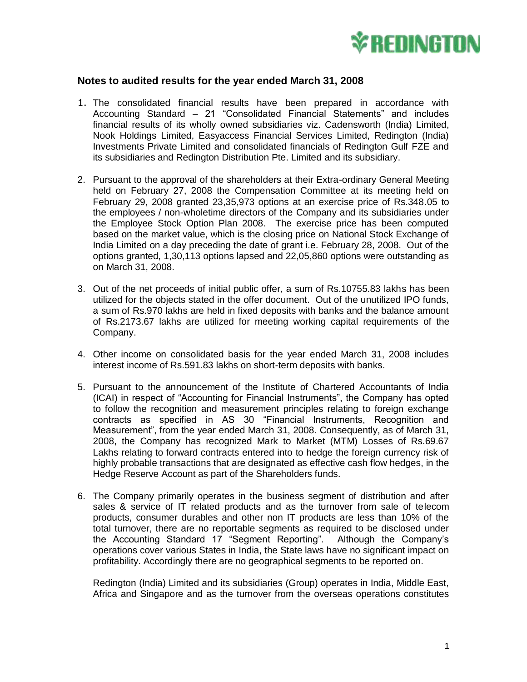

## **Notes to audited results for the year ended March 31, 2008**

- 1. The consolidated financial results have been prepared in accordance with Accounting Standard – 21 "Consolidated Financial Statements" and includes financial results of its wholly owned subsidiaries viz. Cadensworth (India) Limited, Nook Holdings Limited, Easyaccess Financial Services Limited, Redington (India) Investments Private Limited and consolidated financials of Redington Gulf FZE and its subsidiaries and Redington Distribution Pte. Limited and its subsidiary.
- 2. Pursuant to the approval of the shareholders at their Extra-ordinary General Meeting held on February 27, 2008 the Compensation Committee at its meeting held on February 29, 2008 granted 23,35,973 options at an exercise price of Rs.348.05 to the employees / non-wholetime directors of the Company and its subsidiaries under the Employee Stock Option Plan 2008. The exercise price has been computed based on the market value, which is the closing price on National Stock Exchange of India Limited on a day preceding the date of grant i.e. February 28, 2008. Out of the options granted, 1,30,113 options lapsed and 22,05,860 options were outstanding as on March 31, 2008.
- 3. Out of the net proceeds of initial public offer, a sum of Rs.10755.83 lakhs has been utilized for the objects stated in the offer document. Out of the unutilized IPO funds, a sum of Rs.970 lakhs are held in fixed deposits with banks and the balance amount of Rs.2173.67 lakhs are utilized for meeting working capital requirements of the Company.
- 4. Other income on consolidated basis for the year ended March 31, 2008 includes interest income of Rs.591.83 lakhs on short-term deposits with banks.
- 5. Pursuant to the announcement of the Institute of Chartered Accountants of India (ICAI) in respect of "Accounting for Financial Instruments", the Company has opted to follow the recognition and measurement principles relating to foreign exchange contracts as specified in AS 30 "Financial Instruments, Recognition and Measurement", from the year ended March 31, 2008. Consequently, as of March 31, 2008, the Company has recognized Mark to Market (MTM) Losses of Rs.69.67 Lakhs relating to forward contracts entered into to hedge the foreign currency risk of highly probable transactions that are designated as effective cash flow hedges, in the Hedge Reserve Account as part of the Shareholders funds.
- 6. The Company primarily operates in the business segment of distribution and after sales & service of IT related products and as the turnover from sale of telecom products, consumer durables and other non IT products are less than 10% of the total turnover, there are no reportable segments as required to be disclosed under the Accounting Standard 17 "Segment Reporting". Although the Company's operations cover various States in India, the State laws have no significant impact on profitability. Accordingly there are no geographical segments to be reported on.

Redington (India) Limited and its subsidiaries (Group) operates in India, Middle East, Africa and Singapore and as the turnover from the overseas operations constitutes